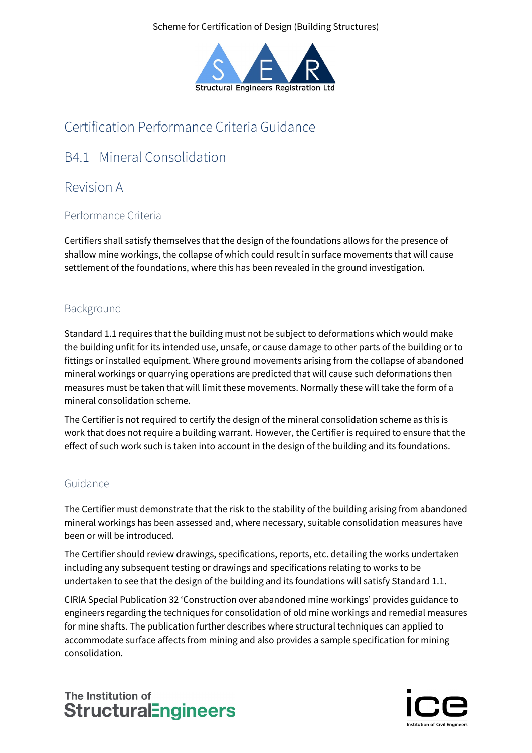Scheme for Certification of Design (Building Structures)



# Certification Performance Criteria Guidance

# B4.1 Mineral Consolidation

## Revision A

### Performance Criteria

Certifiers shall satisfy themselves that the design of the foundations allows for the presence of shallow mine workings, the collapse of which could result in surface movements that will cause settlement of the foundations, where this has been revealed in the ground investigation.

### Background

Standard 1.1 requires that the building must not be subject to deformations which would make the building unfit for its intended use, unsafe, or cause damage to other parts of the building or to fittings or installed equipment. Where ground movements arising from the collapse of abandoned mineral workings or quarrying operations are predicted that will cause such deformations then measures must be taken that will limit these movements. Normally these will take the form of a mineral consolidation scheme.

The Certifier is not required to certify the design of the mineral consolidation scheme as this is work that does not require a building warrant. However, the Certifier is required to ensure that the effect of such work such is taken into account in the design of the building and its foundations.

#### Guidance

The Certifier must demonstrate that the risk to the stability of the building arising from abandoned mineral workings has been assessed and, where necessary, suitable consolidation measures have been or will be introduced.

The Certifier should review drawings, specifications, reports, etc. detailing the works undertaken including any subsequent testing or drawings and specifications relating to works to be undertaken to see that the design of the building and its foundations will satisfy Standard 1.1.

CIRIA Special Publication 32 'Construction over abandoned mine workings' provides guidance to engineers regarding the techniques for consolidation of old mine workings and remedial measures for mine shafts. The publication further describes where structural techniques can applied to accommodate surface affects from mining and also provides a sample specification for mining consolidation.

## The Institution of **StructuralEngineers**